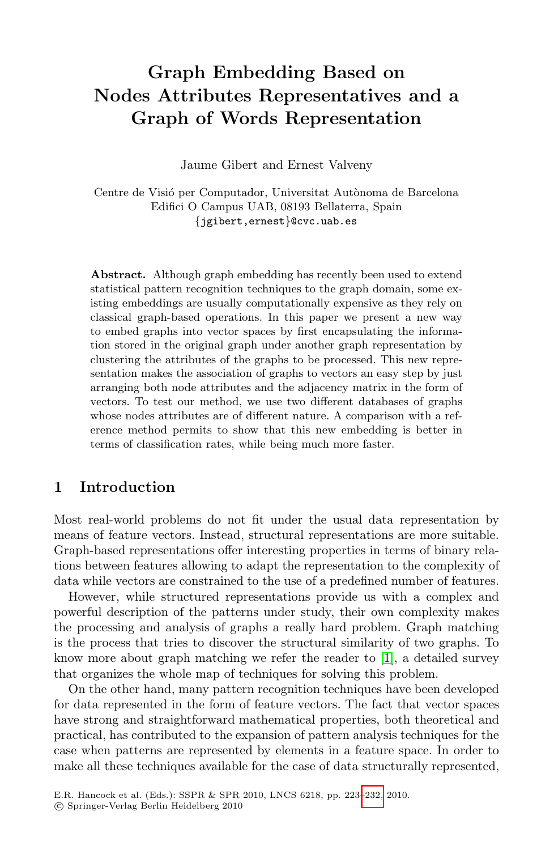# **Graph Embedding Based on Nodes Attributes Representatives and a Graph of Words Representation**

Jaume Gibert and Ernest Valveny

Centre de Visió per Computador, Universitat Autònoma de Barcelona Edifici O Campus UAB, 08193 Bellaterra, Spain *{*jgibert,ernest*}*@cvc.uab.es

**Abstract.** Although graph embedding has recently been used to extend statistical pattern recognition techniques to the graph domain, some existing embeddings are usually computationally expensive as they rely on classical graph-based operations. In this paper we present a new way to embed graphs into vector spaces by first encapsulating the information stored in the original graph under another graph representation by clustering the attributes of the graphs to be processed. This new representation makes the association of graphs to vectors an easy step by just arranging both node attributes and the adjacency matrix in the form of vectors. To test our method, we use two different databases of graphs whose nodes attributes are of different nature. A comparison with a reference method permits to show that this new embedding is better in terms of classification rates, while being much more faster.

# **1 Introduction**

Most real-world problems do not fit under the usual data representation by means of feature vectors. Instead, stru[ctu](#page-9-0)ral representations are more suitable. Graph-based representations offer interesting properties in terms of binary relations between features allowing to adapt the representation to the complexity of data while vectors are constrained to the use of a predefined number of features.

However, while structured representations provide us with a complex and powerful description of the patterns under study, their own complexity makes the processing and analysis of graphs a really hard problem. Graph matching is the process that tries to discover the structural similarity of two graphs. To know more about graph matching we refer the reader to [1], a detailed survey that organizes the whole map of tec[hniq](#page-9-1)ues for solving this problem.

On the other hand, many pattern recognition techniques have been developed for data represented in the form of feature vectors. The fact that vector spaces have strong and straightforward mathematical properties, both theoretical and practical, has contributed to the expansion of pattern analysis techniques for the case when patterns are represented by elements in a feature space. In order to make all these techniques available for the case of data structurally represented,

E.R. Hancock et al. (Eds.): SSPR & SPR 2010, LNCS 6218, pp. 223–232, 2010.

<sup>-</sup>c Springer-Verlag Berlin Heidelberg 2010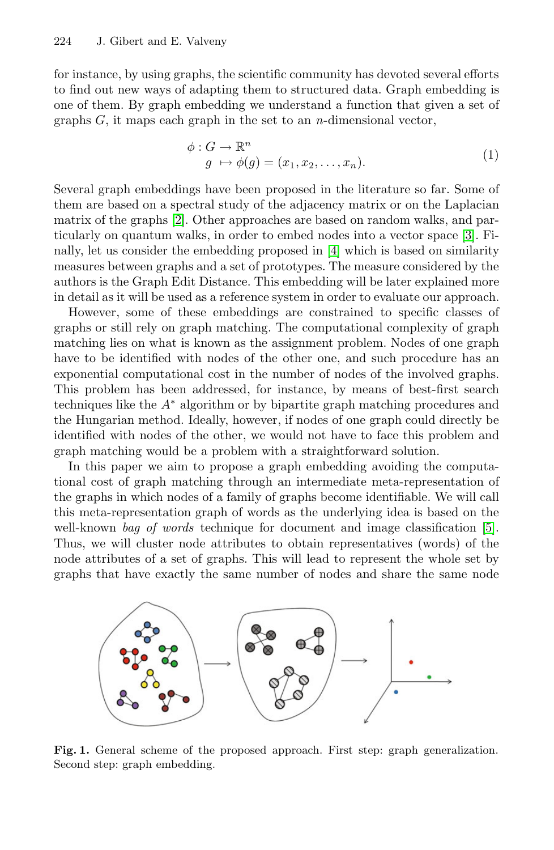for instance, by using graphs, the scientific community has devoted several efforts to find out new ways of adapting them to structured data. Graph embedding is on[e](#page-9-2) of them. By graph embedding we understand a function that given a set of graphs G, it maps each graph [in](#page-9-4) the set to an *n*-dime[ns](#page-9-3)ional vector,

$$
\phi: G \to \mathbb{R}^n
$$
  
\n
$$
g \mapsto \phi(g) = (x_1, x_2, \dots, x_n).
$$
\n(1)

Several graph embeddings have been proposed in the literature so far. Some of them are based on a spectral study of the adjacency matrix or on the Laplacian matrix of the graphs [2]. Other approaches are based on random walks, and particularly on quantum walks, in order to embed nodes into a vector space [3]. Finally, let us consider the embedding proposed in [4] which is based on similarity measures between graphs and a set of prototypes. The measure considered by the authors is the Graph Edit Distance. This embedding will be later explained more in detail as it will be used as a reference system in order to evaluate our approach.

However, some of these embeddings are constrained to specific classes of graphs or still rely on graph matching. The computational complexity of graph matching lies on what is known as the assignment problem. Nodes of one graph have to be identified with nodes of the other one, and such procedure has an exponential computational cost in the number of nodes of the involved graphs. This problem has been addressed, for instance, by means of best-first search techniques like the A<sup>∗</sup> algorithm or by bipartite graph ma[tch](#page-9-5)ing procedures and the Hungarian method. Ideally, however, if nodes of one graph could directly be identified with nodes of the other, we would not have to face this problem and graph matching would be a problem with a straightforward solution.

In this paper we aim to propose a graph embedding avoiding the computational cost of graph matching through an intermediate meta-representation of the graphs in which nodes of a family of graphs become identifiable. We will call this meta-representation graph of words as the underlying idea is based on the well-known *bag of words* technique for document and image classification [5]. Thus, we will cluster node attributes to obtain representatives (words) of the node attributes of a set of graphs. This will lead to represent the whole set by graphs that have exactly the same number of nodes and share the same node



Fig. 1. General scheme of the proposed approach. First step: graph generalization. Second step: graph embedding.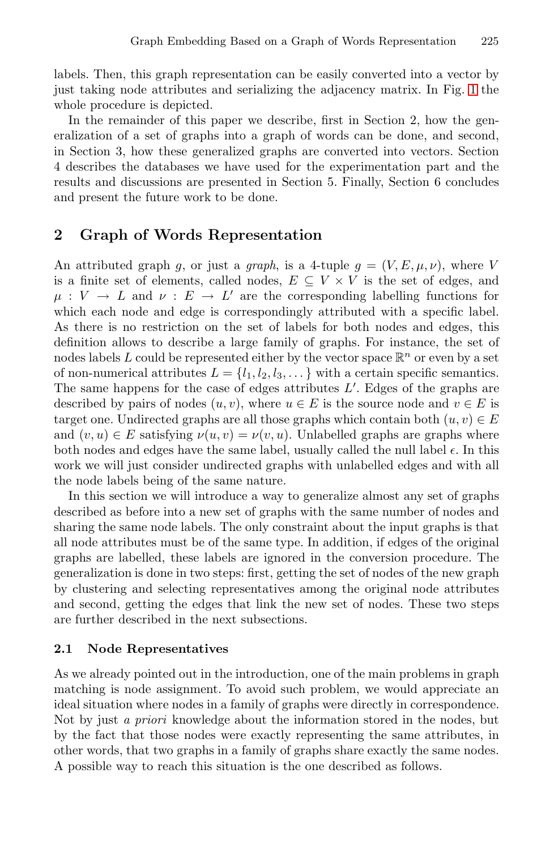labels. Then, this graph representation can be easily converted into a vector by just taking node attributes and serializing the adjacency matrix. In Fig. 1 the whole procedure is depicted.

In the remainder of this paper we describe, first in Section 2, how the generalization of a set of graphs into a graph of words can be done, and second, in Section 3, how these generalized graphs are converted into vectors. Section 4 describes the databases we have used for the experimentation part and the results and discussions are presented in Section 5. Finally, Section 6 concludes and present the future work to be done.

# **2 Graph of Words Representation**

An attributed graph g, or just a graph, is a 4-tuple  $g = (V, E, \mu, \nu)$ , where V is a finite set of elements, called nodes,  $E \subseteq V \times V$  is the set of edges, and  $\mu: V \to L$  and  $\nu: E \to L'$  are the corresponding labelling functions for which each node and edge is correspondingly attributed with a specific label. As there is no restriction on the set of labels for both nodes and edges, this definition allows to describe a large family of graphs. For instance, the set of nodes labels L could be represented either by the vector space  $\mathbb{R}^n$  or even by a set of non-numerical attributes  $L = \{l_1, l_2, l_3, \dots\}$  with a certain specific semantics. The same happens for the case of edges attributes  $L'$ . Edges of the graphs are described by pairs of nodes  $(u, v)$ , where  $u \in E$  is the source node and  $v \in E$  is target one. Undirected graphs are all those graphs which contain both  $(u, v) \in E$ and  $(v, u) \in E$  satisfying  $\nu(u, v) = \nu(v, u)$ . Unlabelled graphs are graphs where both nodes and edges have the same label, usually called the null label  $\epsilon$ . In this work we will just consider undirected graphs with unlabelled edges and with all the node labels being of the same nature.

In this section we will introduce a way to generalize almost any set of graphs described as before into a new set of graphs with the same number of nodes and sharing the same node labels. The only constraint about the input graphs is that all node attributes must be of the same type. In addition, if edges of the original graphs are labelled, these labels are ignored in the conversion procedure. The generalization is done in two steps: first, getting the set of nodes of the new graph by clustering and selecting representatives among the original node attributes and second, getting the edges that link the new set of nodes. These two steps are further described in the next subsections.

## **2.1 Node Representatives**

As we already pointed out in the introduction, one of the main problems in graph matching is node assignment. To avoid such problem, we would appreciate an ideal situation where nodes in a family of graphs were directly in correspondence. Not by just *a priori* knowledge about the information stored in the nodes, but by the fact that those nodes were exactly representing the same attributes, in other words, that two graphs in a family of graphs share exactly the same nodes. A possible way to reach this situation is the one described as follows.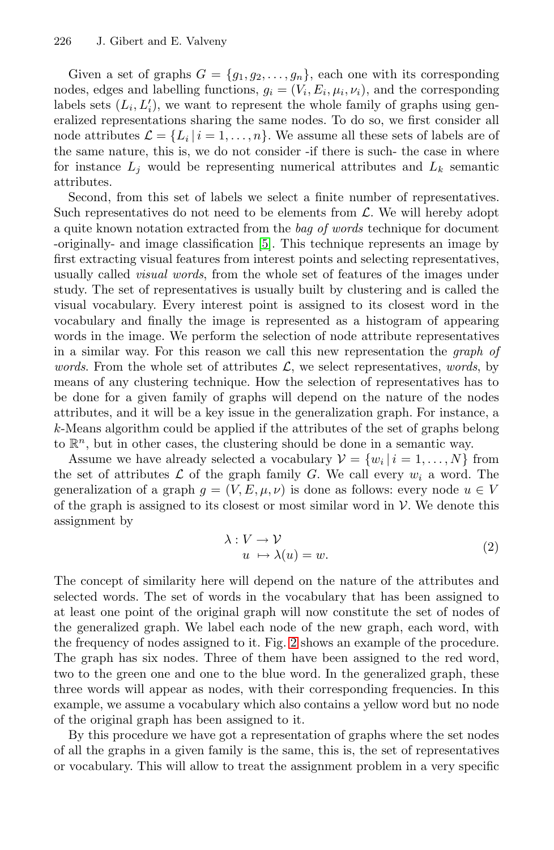Given a set of graphs  $G = \{g_1, g_2, \ldots, g_n\}$ , each one with its corresponding nodes, edges and labelling functions,  $g_i = (V_i, E_i, \mu_i, \nu_i)$ , and the corresponding labels sets  $(L_i, L'_i)$ , we want to represent the whole family of graphs using generalized represent[at](#page-9-5)ions sharing the same nodes. To do so, we first consider all node attributes  $\mathcal{L} = \{L_i | i = 1, \ldots, n\}$ . We assume all these sets of labels are of the same nature, this is, we do not consider -if there is such- the case in where for instance  $L_i$  would be representing numerical attributes and  $L_k$  semantic attributes.

Second, from this set of labels we select a finite number of representatives. Such representatives do not need to be elements from  $\mathcal{L}$ . We will hereby adopt a quite known notation extracted from the *bag of words* technique for document -originally- and image classification [5]. This technique represents an image by first extracting visual features from interest points and selecting representatives, usually called *visual words*, from the whole set of features of the images under study. The set of representatives is usually built by clustering and is called the visual vocabulary. Every interest point is assigned to its closest word in the vocabulary and finally the image is represented as a histogram of appearing words in the image. We perform the selection of node attribute representatives in a similar way. For this reason we call this new representation the *graph of words*. From the whole set of attributes  $\mathcal{L}$ , we select representatives, *words*, by means of any clustering technique. How the selection of representatives has to be done for a given family of graphs will depend on the nature of the nodes attributes, and it will be a key issue in the generalization graph. For instance, a k-Means algorithm could be applied if the attributes of the set of graphs belong to  $\mathbb{R}^n$ , but in other cases, the clustering should be done in a semantic way.

Assume we have already selected a vocabulary  $\mathcal{V} = \{w_i | i = 1, \ldots, N\}$  from the set of attributes  $\mathcal L$  of the graph family  $G$ . We call every  $w_i$  a word. The generalization of a graph  $g = (V, E, \mu, \nu)$  is done as follows: every node  $u \in V$ of the graph is assigned to its closest or most similar word in  $\mathcal V$ . We denote this assignment by

$$
\lambda: V \to V \n u \mapsto \lambda(u) = w.
$$
\n(2)

The concept of similarity here will depend on the nature of the attributes and selected words. The set of words in the vocabulary that has been assigned to at least one point of the original graph will now constitute the set of nodes of the generalized graph. We label each node of the new graph, each word, with the frequency of nodes assigned to it. Fig. 2 shows an example of the procedure. The graph has six nodes. Three of them have been assigned to the red word, two to the green one and one to the blue word. In the generalized graph, these three words will appear as nodes, with their corresponding frequencies. In this example, we assume a vocabulary which also contains a yellow word but no node of the original graph has been assigned to it.

By this procedure we have got a representation of graphs where the set nodes of all the graphs in a given family is the same, this is, the set of representatives or vocabulary. This will allow to treat the assignment problem in a very specific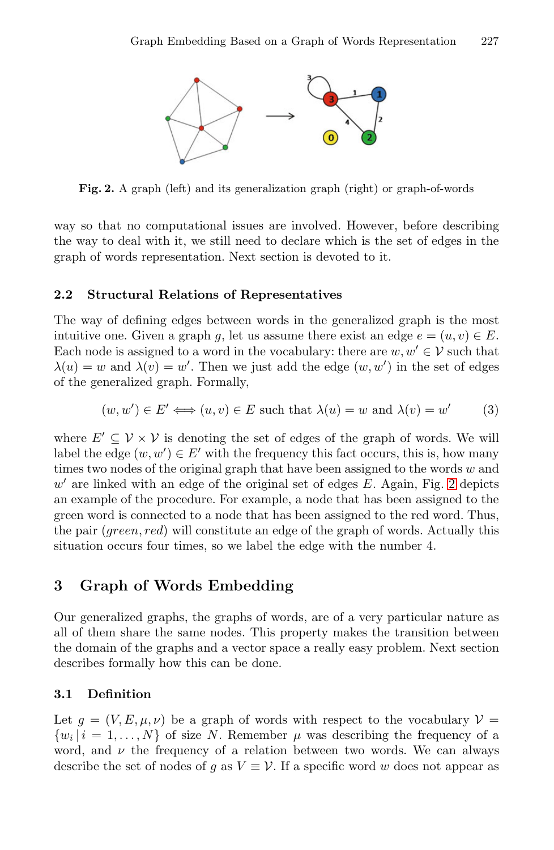

<span id="page-4-0"></span>**Fig. 2.** A graph (left) and its generalization graph (right) or graph-of-words

way so that no computational issues are involved. However, before describing the way to deal with it, we still need to declare which is the set of edges in the graph of words representation. Next section is devoted to it.

## **2.2 Structural Relations of Representatives**

The way of defining edges between words in the generalized graph is the most intuitive one. Given a graph g, let us assume there exist an edge  $e = (u, v) \in E$ . Each node is assigned to a word in the vocabulary: there are  $w, w' \in \mathcal{V}$  such that  $\lambda(u) = w$  and  $\lambda(v) = w'$ . Then we just add the ed[ge](#page-4-0)  $(w, w')$  in the set of edges of the generalized graph. Formally,

$$
(w, w') \in E' \iff (u, v) \in E
$$
 such that  $\lambda(u) = w$  and  $\lambda(v) = w'$  (3)

where  $E' \subseteq \mathcal{V} \times \mathcal{V}$  is denoting the set of edges of the graph of words. We will label the edge  $(w, w') \in E'$  with the frequency this fact occurs, this is, how many times two nodes of the original graph that have been assigned to the words  $w$  and  $w'$  are linked with an edge of the original set of edges E. Again, Fig. 2 depicts an example of the procedure. For example, a node that has been assigned to the green word is connected to a node that has been assigned to the red word. Thus, the pair (green, red) will constitute an edge of the graph of words. Actually this situation occurs four times, so we label the edge with the number 4.

# **3 Graph of Words Embedding**

Our generalized graphs, the graphs of words, are of a very particular nature as all of them share the same nodes. This property makes the transition between the domain of the graphs and a vector space a really easy problem. Next section describes formally how this can be done.

## **3.1 Definition**

Let  $q = (V, E, \mu, \nu)$  be a graph of words with respect to the vocabulary  $V =$  $\{w_i | i = 1, \ldots, N\}$  of size N. Remember  $\mu$  was describing the frequency of a word, and  $\nu$  the frequency of a relation between two words. We can always describe the set of nodes of g as  $V \equiv V$ . If a specific word w does not appear as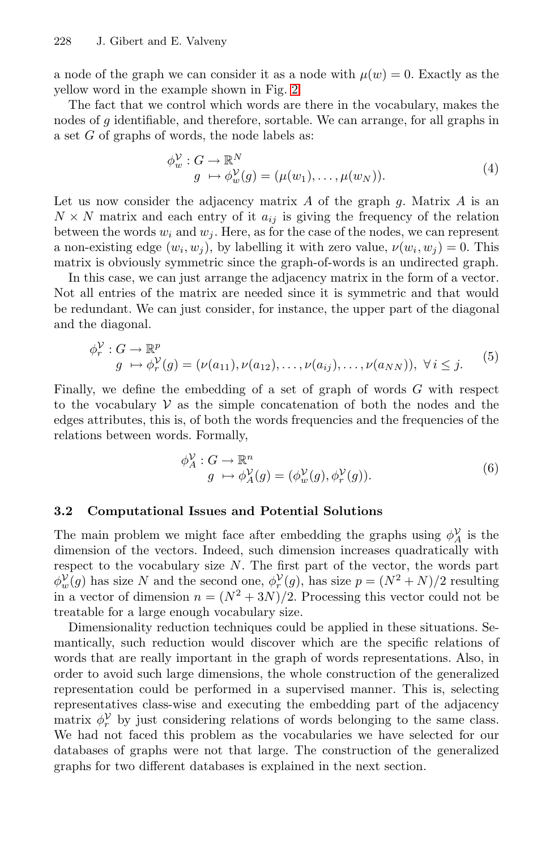a node of the graph we can consider it as a node with  $\mu(w) = 0$ . Exactly as the yellow word in the example shown in Fig. 2.

The fact that we control which words are there in the vocabulary, makes the nodes of g identifiable, and therefore, sortable. We can arrange, for all graphs in a set G of graphs of words, the node labels as:

$$
\begin{aligned} \phi_w^{\mathcal{V}} &: G \to \mathbb{R}^N \\ g & \mapsto \phi_w^{\mathcal{V}}(g) = (\mu(w_1), \dots, \mu(w_N)). \end{aligned} \tag{4}
$$

Let us now consider the adjacency matrix  $A$  of the graph  $g$ . Matrix  $A$  is an  $N \times N$  matrix and each entry of it  $a_{ij}$  is giving the frequency of the relation between the words  $w_i$  and  $w_j$ . Here, as for the case of the nodes, we can represent a non-existing edge  $(w_i, w_j)$ , by labelling it with zero value,  $\nu(w_i, w_j) = 0$ . This matrix is obviously symmetric since the graph-of-words is an undirected graph.

In this case, we can just arrange the adjacency matrix in the form of a vector. Not all entries of the matrix are needed since it is symmetric and that would be redundant. We can just consider, for instance, the upper part of the diagonal and the diagonal.

$$
\phi_r^{\mathcal{V}} : G \to \mathbb{R}^p
$$
  
 
$$
g \mapsto \phi_r^{\mathcal{V}}(g) = (\nu(a_{11}), \nu(a_{12}), \dots, \nu(a_{ij}), \dots, \nu(a_{NN})), \ \forall i \leq j.
$$
 (5)

Finally, we define the embedding of a set of graph of words G with respect to the vocabulary  $V$  as the simple concatenation of both the nodes and the edges attributes, this is, of both the words frequencies and the frequencies of the relations between words. Formally,

$$
\begin{aligned} \phi_A^{\mathcal{V}} &: G \to \mathbb{R}^n \\ g & \mapsto \phi_A^{\mathcal{V}}(g) = (\phi_w^{\mathcal{V}}(g), \phi_r^{\mathcal{V}}(g)). \end{aligned} \tag{6}
$$

## **3.2 Computational Issues and Potential Solutions**

The main problem we might face after embedding the graphs using  $\phi_A^V$  is the dimension of the vectors. Indeed, such dimension increases quadratically with respect to the vocabulary size N. The first part of the vector, the words part  $\phi_w^{\mathcal{V}}(g)$  has size N and the second one,  $\phi_r^{\mathcal{V}}(g)$ , has size  $p = (N^2 + N)/2$  resulting in a vector of dimension  $n = (N^2 + 3N)/2$ . Processing this vector could not be treatable for a large enough vocabulary size.

Dimensionality reduction techniques could be applied in these situations. Semantically, such reduction would discover which are the specific relations of words that are really important in the graph of words representations. Also, in order to avoid such large dimensions, the whole construction of the generalized representation could be performed in a supervised manner. This is, selecting representatives class-wise and executing the embedding part of the adjacency matrix  $\phi_r^V$  by just considering relations of words belonging to the same class. We had not faced this problem as the vocabularies we have selected for our databases of graphs were not that large. The construction of the generalized graphs for two different databases is explained in the next section.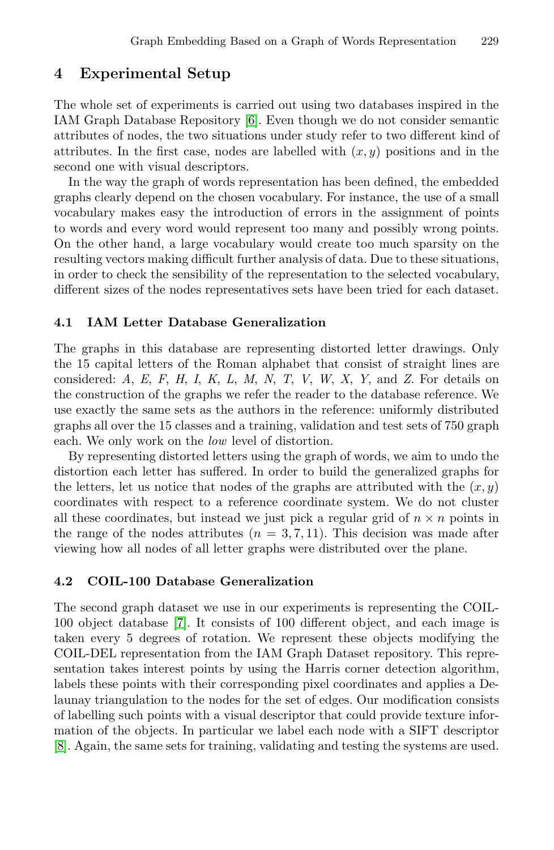# **4 Experimental Setup**

The whole set of experiments is carried out using two databases inspired in the IAM Graph Database Repository [6]. Even though we do not consider semantic attributes of nodes, the two situations under study refer to two different kind of attributes. In the first case, nodes are labelled with  $(x, y)$  positions and in the second one with visual descriptors.

In the way the graph of words representation has been defined, the embedded graphs clearly depend on the chosen vocabulary. For instance, the use of a small vocabulary makes easy the introduction of errors in the assignment of points to words and every word would represent too many and possibly wrong points. On the other hand, a large vocabulary would create too much sparsity on the resulting vectors making difficult further analysis of data. Due to these situations, in order to check the sensibility of the representation to the selected vocabulary, different sizes of the nodes representatives sets have been tried for each dataset.

## **4.1 IAM Letter Database Generalization**

The graphs in this database are representing distorted letter drawings. Only the 15 capital letters of the Roman alphabet that consist of straight lines are considered: *A*, *E*, *F*, *H*, *I*, *K*, *L*, *M*, *N*, *T*, *V*, *W*, *X*, *Y*, and *Z*. For details on the construction of the graphs we refer the reader to the database reference. We use exactly the same sets as the authors in the reference: uniformly distributed graphs all over the 15 classes and a training, validation and test sets of 750 graph each. We only work on the *low* level of distortion.

By representing distorted letters using the graph of words, we aim to undo the distortion each letter has suffered. In order to build the generalized graphs for the letters, let us notice that nodes of the graphs are attributed with the  $(x, y)$ co[ord](#page-9-6)inates with respect to a reference coordinate system. We do not cluster all these coordinates, but instead we just pick a regular grid of  $n \times n$  points in the range of the nodes attributes  $(n = 3, 7, 11)$ . This decision was made after viewing how all nodes of all letter graphs were distributed over the plane.

## **4.2 COIL-100 Database Generalization**

The second graph dataset we use in our experiments is representing the COIL-100 object database [7]. It consists of 100 different object, and each image is taken every 5 degrees of rotation. We represent these objects modifying the COIL-DEL representation from the IAM Graph Dataset repository. This representation takes interest points by using the Harris corner detection algorithm, labels these points with their corresponding pixel coordinates and applies a Delaunay triangulation to the nodes for the set of edges. Our modification consists of labelling such points with a visual descriptor that could provide texture information of the objects. In particular we label each node with a SIFT descriptor [8]. Again, the same sets for training, validating and testing the systems are used.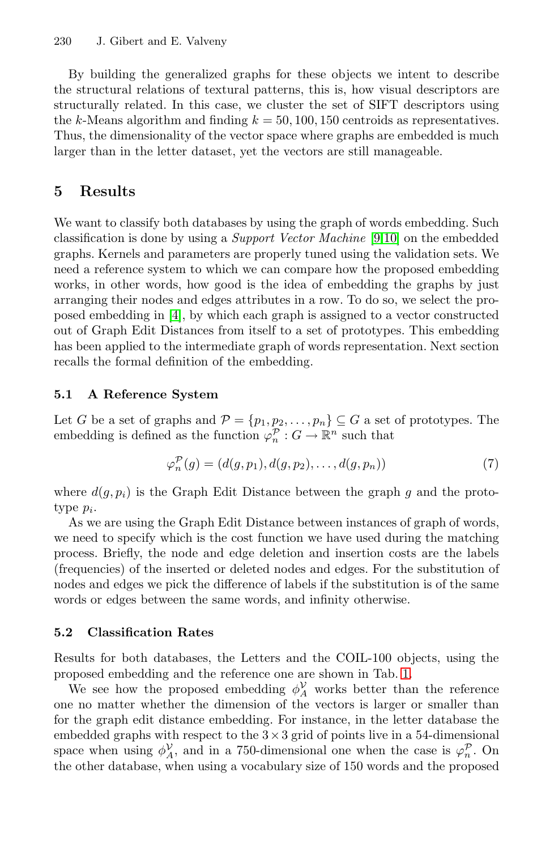By building the generalized graphs for these objects we intent to describe the structural relations of textural patterns, this is, how visual descriptors are structurally related. In this case, we cluster the set of SIFT descriptors using the k-Means algorithm and finding  $k = 50, 100, 150$  $k = 50, 100, 150$  $k = 50, 100, 150$  $k = 50, 100, 150$  centroids as representatives. Thus, the dimensionality of the vector space where graphs are embedded is much larger than in the letter dataset, yet the vectors are still manageable.

# **5 Results**

We want to classify both databases by using the graph of words embedding. Such classification is done by using a *Support Vector Machine* [9,10] on the embedded graphs. Kernels and parameters are properly tuned using the validation sets. We need a reference system to which we can compare how the proposed embedding works, in other words, how good is the idea of embedding the graphs by just arranging their nodes and edges attributes in a row. To do so, we select the proposed embedding in [4], by which each graph is assigned to a vector constructed out of Graph Edit Distances from itself to a set of prototypes. This embedding has been applied to the intermediate graph of words representation. Next section recalls the formal definition of the embedding.

## **5.1 A Reference System**

Let G be a set of graphs and  $\mathcal{P} = \{p_1, p_2, \ldots, p_n\} \subseteq G$  a set of prototypes. The embedding is defined as the function  $\varphi_n^{\mathcal{P}}: G \to \mathbb{R}^n$  such that

$$
\varphi_n^{\mathcal{P}}(g) = (d(g, p_1), d(g, p_2), \dots, d(g, p_n))
$$
\n(7)

where  $d(q, p_i)$  is the Graph Edit Distance between the graph q and the prototype p*i*.

As we are using the Graph Edit Distance between instances of graph of words, we need to specify which is the cost function we have used during the matching process. Briefly, the node and edge deleti[on](#page-8-0) and insertion costs are the labels (frequencies) of the inserted or deleted nodes and edges. For the substitution of nodes and edges we pick the difference of labels if the substitution is of the same words or edges between the same words, and infinity otherwise.

## **5.2 Classification Rates**

Results for both databases, the Letters and the COIL-100 objects, using the proposed embedding and the reference one are shown in Tab. 1.

We see how the proposed embedding  $\phi_A^V$  works better than the reference one no matter whether the dimension of the vectors is larger or smaller than for the graph edit distance embedding. For instance, in the letter database the embedded graphs with respect to the  $3 \times 3$  grid of points live in a 54-dimensional space when using  $\phi^V_A$ , and in a 750-dimensional one when the case is  $\varphi^P_n$ . On the other database, when using a vocabulary size of 150 words and the proposed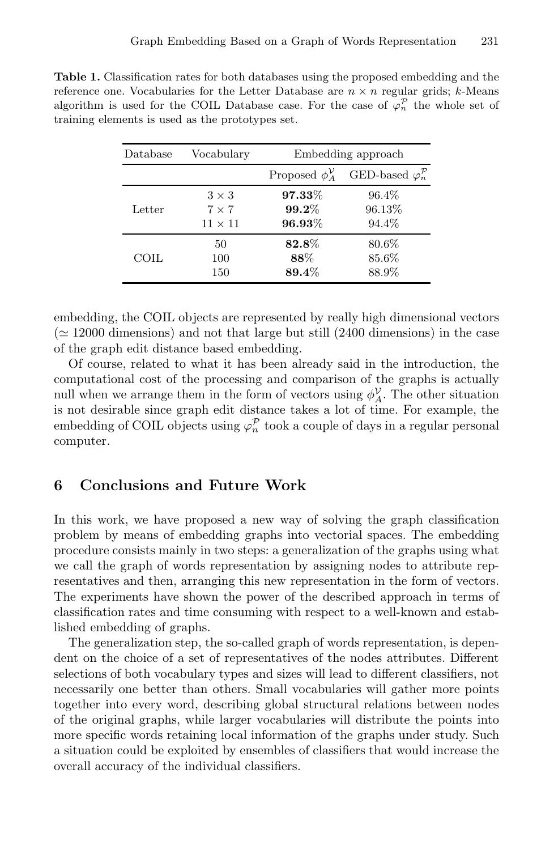<span id="page-8-0"></span>

| Database | Vocabulary     | Embedding approach |                                                                     |
|----------|----------------|--------------------|---------------------------------------------------------------------|
|          |                |                    | Proposed $\phi_A^{\mathcal{V}}$ GED-based $\varphi_n^{\mathcal{P}}$ |
| Letter   | $3 \times 3$   | $97.33\%$          | 96.4%                                                               |
|          | $7 \times 7$   | $99.2\%$           | 96.13%                                                              |
|          | $11 \times 11$ | $96.93\%$          | 94.4%                                                               |
| COIL     | 50             | 82.8%              | 80.6%                                                               |
|          | 100            | 88%                | 85.6%                                                               |
|          | 150            | 89.4%              | 88.9%                                                               |

**Table 1.** Classification rates for both databases using the proposed embedding and the reference one. Vocabularies for the Letter Database are  $n \times n$  regular grids;  $k$ -Means algorithm is used for the COIL Database case. For the case of  $\varphi_n^P$  the whole set of training elements is used as the prototypes set.

embedding, the COIL objects are represented by really high dimensional vectors  $(\simeq 12000$  dimensions) and not that large but still (2400 dimensions) in the case of the graph edit distance based embedding.

Of course, related to what it has been already said in the introduction, the computational cost of the processing and comparison of the graphs is actually null when we arrange them in the form of vectors using  $\phi_A^{\mathcal{V}}$ . The other situation is not desirable since graph edit distance takes a lot of time. For example, the embedding of COIL objects using  $\varphi_n^{\mathcal{P}}$  took a couple of days in a regular personal computer.

# **6 Conclusions and Future Work**

In this work, we have proposed a new way of solving the graph classification problem by means of embedding graphs into vectorial spaces. The embedding procedure consists mainly in two steps: a generalization of the graphs using what we call the graph of words representation by assigning nodes to attribute representatives and then, arranging this new representation in the form of vectors. The experiments have shown the power of the described approach in terms of classification rates and time consuming with respect to a well-known and established embedding of graphs.

The generalization step, the so-called graph of words representation, is dependent on the choice of a set of representatives of the nodes attributes. Different selections of both vocabulary types and sizes will lead to different classifiers, not necessarily one better than others. Small vocabularies will gather more points together into every word, describing global structural relations between nodes of the original graphs, while larger vocabularies will distribute the points into more specific words retaining local information of the graphs under study. Such a situation could be exploited by ensembles of classifiers that would increase the overall accuracy of the individual classifiers.